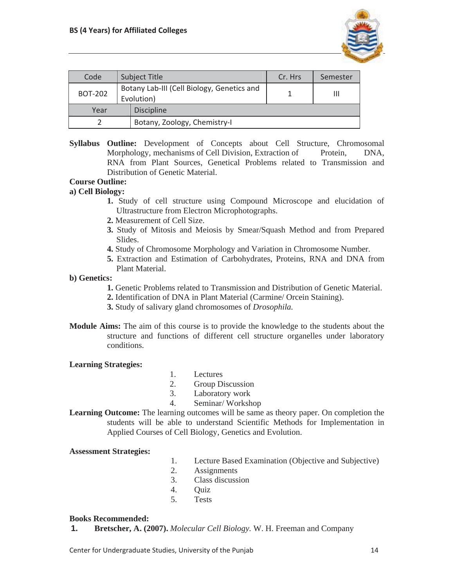

| Code           |  | <b>Subject Title</b>                                     | Cr. Hrs | Semester |
|----------------|--|----------------------------------------------------------|---------|----------|
| <b>BOT-202</b> |  | Botany Lab-III (Cell Biology, Genetics and<br>Evolution) |         | Ш        |
| Year           |  | <b>Discipline</b>                                        |         |          |
|                |  | Botany, Zoology, Chemistry-I                             |         |          |

**Syllabus Outline:** Development of Concepts about Cell Structure, Chromosomal Morphology, mechanisms of Cell Division, Extraction of Protein, DNA, RNA from Plant Sources, Genetical Problems related to Transmission and Distribution of Genetic Material.

# **Course Outline:**

## **a) Cell Biology:**

- **1.** Study of cell structure using Compound Microscope and elucidation of Ultrastructure from Electron Microphotographs.
- **2.** Measurement of Cell Size.
- **3.** Study of Mitosis and Meiosis by Smear/Squash Method and from Prepared Slides.
- **4.** Study of Chromosome Morphology and Variation in Chromosome Number.
- **5.** Extraction and Estimation of Carbohydrates, Proteins, RNA and DNA from Plant Material.

### **b) Genetics:**

- **1.** Genetic Problems related to Transmission and Distribution of Genetic Material.
- **2.** Identification of DNA in Plant Material (Carmine/ Orcein Staining).
- **3.** Study of salivary gland chromosomes of *Drosophila.*
- **Module Aims:** The aim of this course is to provide the knowledge to the students about the structure and functions of different cell structure organelles under laboratory conditions.

#### **Learning Strategies:**

- 1. Lectures
- 2. Group Discussion
- 3. Laboratory work
- 4. Seminar/ Workshop

**Learning Outcome:** The learning outcomes will be same as theory paper. On completion the students will be able to understand Scientific Methods for Implementation in Applied Courses of Cell Biology, Genetics and Evolution.

#### **Assessment Strategies:**

- 1. Lecture Based Examination (Objective and Subjective)
- 2. Assignments
- 3. Class discussion
- 4. Quiz
- 5. Tests

#### **Books Recommended:**

**1. Bretscher, A. (2007).** *Molecular Cell Biology.* W. H. Freeman and Company